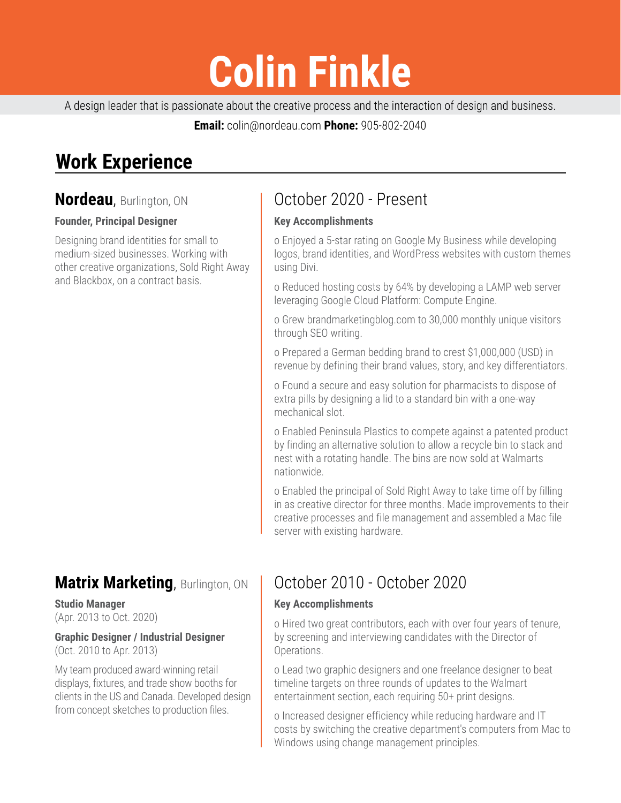# **Colin Finkle**

A design leader that is passionate about the creative process and the interaction of design and business.

**Email:** colin@nordeau.com **Phone:** 905-802-2040

# **Work Experience**

## **Nordeau**, Burlington, ON

### **Founder, Principal Designer**

Designing brand identities for small to medium-sized businesses. Working with other creative organizations, Sold Right Away and Blackbox, on a contract basis.

# **Matrix Marketing**, Burlington, ON

**Studio Manager** (Apr. 2013 to Oct. 2020)

#### **Graphic Designer / Industrial Designer** (Oct. 2010 to Apr. 2013)

My team produced award-winning retail displays, fixtures, and trade show booths for clients in the US and Canada. Developed design from concept sketches to production files.

# October 2020 - Present

### **Key Accomplishments**

o Enjoyed a 5-star rating on Google My Business while developing logos, brand identities, and WordPress websites with custom themes using Divi.

o Reduced hosting costs by 64% by developing a LAMP web server leveraging Google Cloud Platform: Compute Engine.

o Grew brandmarketingblog.com to 30,000 monthly unique visitors through SEO writing.

o Prepared a German bedding brand to crest \$1,000,000 (USD) in revenue by defining their brand values, story, and key differentiators.

o Found a secure and easy solution for pharmacists to dispose of extra pills by designing a lid to a standard bin with a one-way mechanical slot.

o Enabled Peninsula Plastics to compete against a patented product by finding an alternative solution to allow a recycle bin to stack and nest with a rotating handle. The bins are now sold at Walmarts nationwide.

o Enabled the principal of Sold Right Away to take time off by filling in as creative director for three months. Made improvements to their creative processes and file management and assembled a Mac file server with existing hardware.

# October 2010 - October 2020

## **Key Accomplishments**

o Hired two great contributors, each with over four years of tenure, by screening and interviewing candidates with the Director of Operations.

o Lead two graphic designers and one freelance designer to beat timeline targets on three rounds of updates to the Walmart entertainment section, each requiring 50+ print designs.

o Increased designer efficiency while reducing hardware and IT costs by switching the creative department's computers from Mac to Windows using change management principles.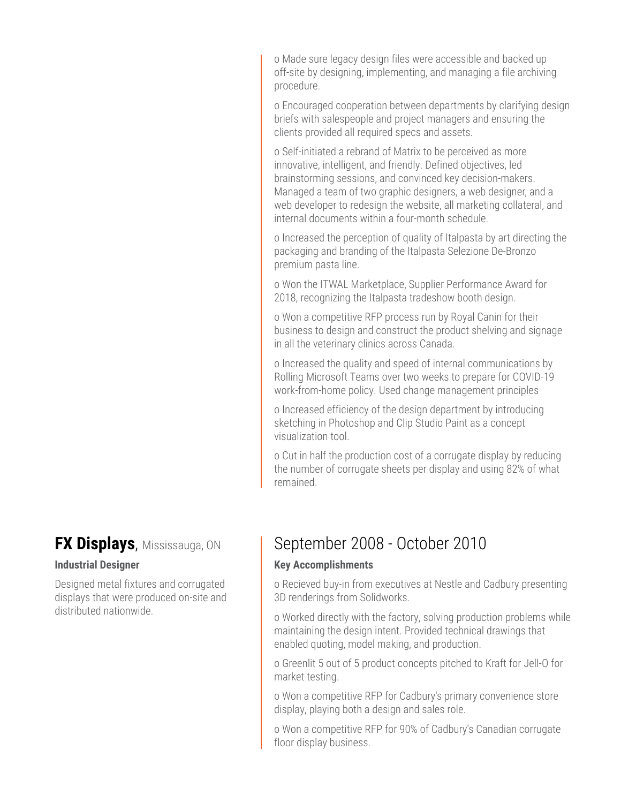o Made sure legacy design files were accessible and backed up off-site by designing, implementing, and managing a file archiving procedure.

o Encouraged cooperation between departments by clarifying design briefs with salespeople and project managers and ensuring the clients provided all required specs and assets.

o Self-initiated a rebrand of Matrix to be perceived as more innovative, intelligent, and friendly. Defined objectives, led brainstorming sessions, and convinced key decision-makers. Managed a team of two graphic designers, a web designer, and a web developer to redesign the website, all marketing collateral, and internal documents within a four-month schedule.

o Increased the perception of quality of Italpasta by art directing the packaging and branding of the Italpasta Selezione De-Bronzo premium pasta line.

o Won the ITWAL Marketplace, Supplier Performance Award for 2018, recognizing the Italpasta tradeshow booth design.

o Won a competitive RFP process run by Royal Canin for their business to design and construct the product shelving and signage in all the veterinary clinics across Canada.

o Increased the quality and speed of internal communications by Rolling Microsoft Teams over two weeks to prepare for COVID-19 work-from-home policy. Used change management principles

o Increased efficiency of the design department by introducing sketching in Photoshop and Clip Studio Paint as a concept visualization tool.

o Cut in half the production cost of a corrugate display by reducing the number of corrugate sheets per display and using 82% of what remained.

## **FX Displays**, Mississauga, ON

### **Industrial Designer**

Designed metal fixtures and corrugated displays that were produced on-site and distributed nationwide.

# September 2008 - October 2010

#### **Key Accomplishments**

o Recieved buy-in from executives at Nestle and Cadbury presenting 3D renderings from Solidworks.

o Worked directly with the factory, solving production problems while maintaining the design intent. Provided technical drawings that enabled quoting, model making, and production.

o Greenlit 5 out of 5 product concepts pitched to Kraft for Jell-O for market testing.

o Won a competitive RFP for Cadbury's primary convenience store display, playing both a design and sales role.

o Won a competitive RFP for 90% of Cadbury's Canadian corrugate floor display business.